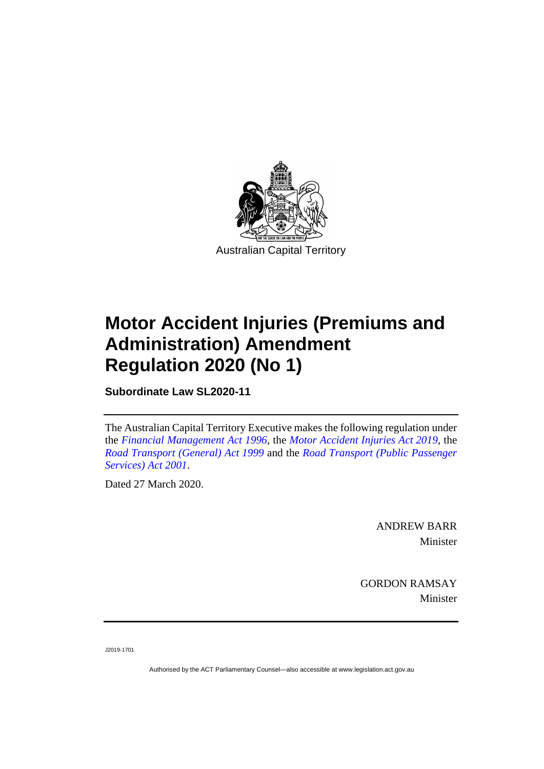

# **Motor Accident Injuries (Premiums and Administration) Amendment Regulation 2020 (No 1)**

**Subordinate Law SL2020-11**

The Australian Capital Territory Executive makes the following regulation under the *[Financial Management Act 1996](http://www.legislation.act.gov.au/a/1996-22)*, the *[Motor Accident Injuries Act](http://www.legislation.act.gov.au/a/2019-12) 2019*, the *[Road Transport \(General\) Act](http://www.legislation.act.gov.au/a/1999-77) 1999* and the *[Road Transport \(Public Passenger](http://www.legislation.act.gov.au/a/2001-62)  [Services\) Act 2001](http://www.legislation.act.gov.au/a/2001-62)*.

Dated 27 March 2020.

ANDREW BARR Minister

GORDON RAMSAY Minister

J2019-1701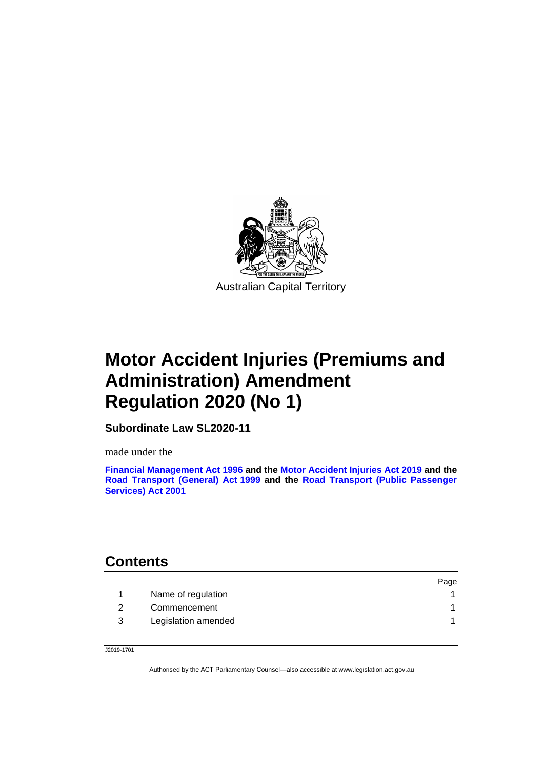

# **Motor Accident Injuries (Premiums and Administration) Amendment Regulation 2020 (No 1)**

**Subordinate Law SL2020-11**

made under the

**[Financial Management Act 1996](http://www.legislation.act.gov.au/a/1996-22) and the [Motor Accident Injuries Act](http://www.legislation.act.gov.au/a/2019-12) 2019 and the [Road Transport \(General\) Act](http://www.legislation.act.gov.au/a/1999-77) 1999 and the [Road Transport \(Public Passenger](http://www.legislation.act.gov.au/a/2001-62)  [Services\) Act 2001](http://www.legislation.act.gov.au/a/2001-62)**

### **Contents**

| Page |
|------|
|      |
|      |
|      |
|      |

J2019-1701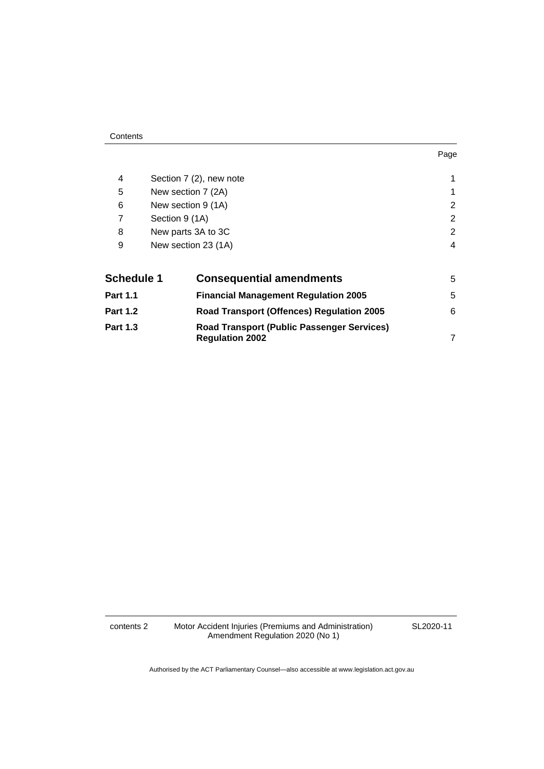#### **Contents**

| 4                 | Section 7 (2), new note |                                                                             |   |  |
|-------------------|-------------------------|-----------------------------------------------------------------------------|---|--|
| 5                 | New section 7 (2A)      |                                                                             |   |  |
| 6                 | New section 9 (1A)      |                                                                             |   |  |
| 7                 | Section 9 (1A)          |                                                                             |   |  |
| 8                 | New parts 3A to 3C      |                                                                             |   |  |
| 9                 |                         | New section 23 (1A)                                                         | 4 |  |
| <b>Schedule 1</b> |                         | <b>Consequential amendments</b>                                             | 5 |  |
| <b>Part 1.1</b>   |                         | <b>Financial Management Regulation 2005</b>                                 | 5 |  |
| <b>Part 1.2</b>   |                         | <b>Road Transport (Offences) Regulation 2005</b>                            | 6 |  |
| <b>Part 1.3</b>   |                         | <b>Road Transport (Public Passenger Services)</b><br><b>Regulation 2002</b> | 7 |  |

contents 2 Motor Accident Injuries (Premiums and Administration) Amendment Regulation 2020 (No 1)

SL2020-11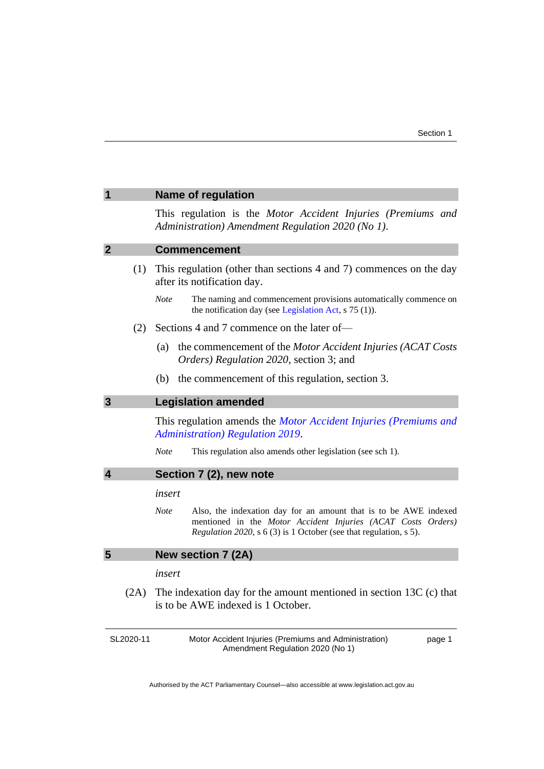<span id="page-4-4"></span><span id="page-4-3"></span><span id="page-4-2"></span><span id="page-4-1"></span><span id="page-4-0"></span>

|                                            |           | <b>Name of regulation</b>                                                                                                                                                                                            |  |  |  |  |
|--------------------------------------------|-----------|----------------------------------------------------------------------------------------------------------------------------------------------------------------------------------------------------------------------|--|--|--|--|
|                                            |           | This regulation is the Motor Accident Injuries (Premiums and<br>Administration) Amendment Regulation 2020 (No 1).                                                                                                    |  |  |  |  |
| $\boldsymbol{2}$                           |           | <b>Commencement</b>                                                                                                                                                                                                  |  |  |  |  |
|                                            | (1)       | This regulation (other than sections 4 and 7) commences on the day<br>after its notification day.                                                                                                                    |  |  |  |  |
|                                            |           | <b>Note</b><br>The naming and commencement provisions automatically commence on<br>the notification day (see Legislation Act, s 75 (1)).                                                                             |  |  |  |  |
|                                            | (2)       | Sections 4 and 7 commence on the later of-                                                                                                                                                                           |  |  |  |  |
|                                            |           | (a)<br>the commencement of the Motor Accident Injuries (ACAT Costs<br>Orders) Regulation 2020, section 3; and                                                                                                        |  |  |  |  |
|                                            |           | the commencement of this regulation, section 3.<br>(b)                                                                                                                                                               |  |  |  |  |
| $\mathbf{3}$<br><b>Legislation amended</b> |           |                                                                                                                                                                                                                      |  |  |  |  |
|                                            |           | This regulation amends the Motor Accident Injuries (Premiums and<br><b>Administration</b> ) Regulation 2019.                                                                                                         |  |  |  |  |
|                                            |           | <b>Note</b><br>This regulation also amends other legislation (see sch 1).                                                                                                                                            |  |  |  |  |
| 4                                          |           | Section 7 (2), new note                                                                                                                                                                                              |  |  |  |  |
|                                            |           | insert                                                                                                                                                                                                               |  |  |  |  |
|                                            |           | <b>Note</b><br>Also, the indexation day for an amount that is to be AWE indexed<br>mentioned in the Motor Accident Injuries (ACAT Costs Orders)<br>Regulation 2020, s 6 (3) is 1 October (see that regulation, s 5). |  |  |  |  |
| 5                                          |           | New section 7 (2A)                                                                                                                                                                                                   |  |  |  |  |
|                                            |           | insert                                                                                                                                                                                                               |  |  |  |  |
|                                            | (2A)      | The indexation day for the amount mentioned in section $13C$ (c) that<br>is to be AWE indexed is 1 October.                                                                                                          |  |  |  |  |
|                                            | SL2020-11 | Motor Accident Injuries (Premiums and Administration)<br>page 1<br>Amendment Regulation 2020 (No 1)                                                                                                                  |  |  |  |  |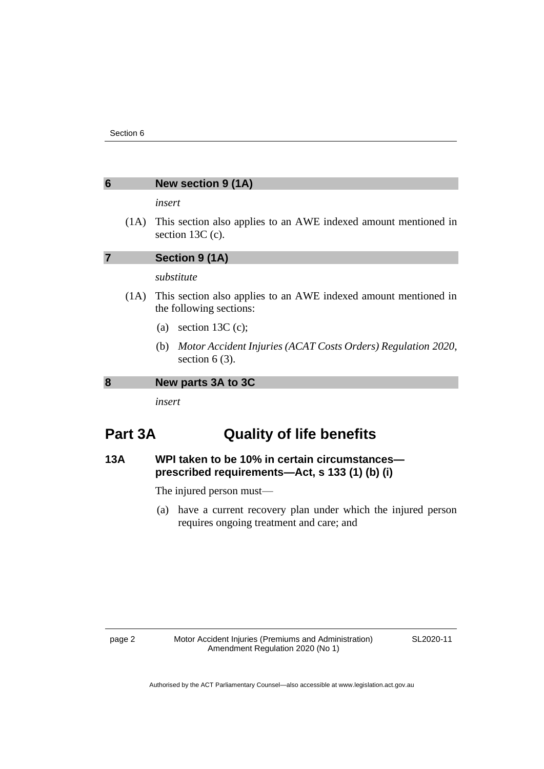#### <span id="page-5-0"></span>**6 New section 9 (1A)**

#### *insert*

(1A) This section also applies to an AWE indexed amount mentioned in section 13C (c).

<span id="page-5-1"></span>**7 Section 9 (1A)**

*substitute*

- (1A) This section also applies to an AWE indexed amount mentioned in the following sections:
	- (a) section 13C (c);
	- (b) *Motor Accident Injuries (ACAT Costs Orders) Regulation 2020*, section  $6(3)$ .

<span id="page-5-2"></span>**8 New parts 3A to 3C**

*insert*

### **Part 3A Quality of life benefits**

### **13A WPI taken to be 10% in certain circumstances prescribed requirements—Act, s 133 (1) (b) (i)**

The injured person must—

(a) have a current recovery plan under which the injured person requires ongoing treatment and care; and

SL2020-11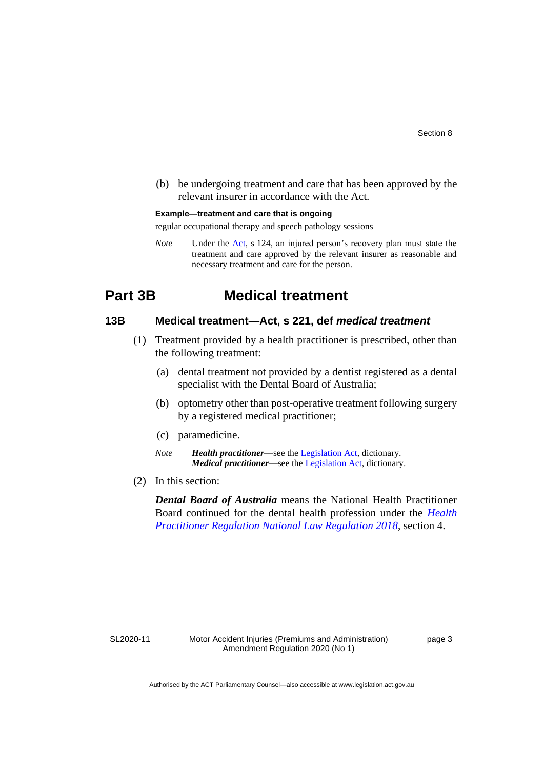(b) be undergoing treatment and care that has been approved by the relevant insurer in accordance with the Act.

#### **Example—treatment and care that is ongoing**

regular occupational therapy and speech pathology sessions

*Note* Under the [Act,](https://www.legislation.act.gov.au/a/2019-12/) s 124, an injured person's recovery plan must state the treatment and care approved by the relevant insurer as reasonable and necessary treatment and care for the person.

### **Part 3B Medical treatment**

#### **13B Medical treatment—Act, s 221, def** *medical treatment*

- (1) Treatment provided by a health practitioner is prescribed, other than the following treatment:
	- (a) dental treatment not provided by a dentist registered as a dental specialist with the Dental Board of Australia;
	- (b) optometry other than post-operative treatment following surgery by a registered medical practitioner;
	- (c) paramedicine.
	- *Note Health practitioner*—see the [Legislation Act,](http://www.legislation.act.gov.au/a/2001-14) dictionary. *Medical practitioner*—see the [Legislation Act,](http://www.legislation.act.gov.au/a/2001-14) dictionary.
- (2) In this section:

*Dental Board of Australia* means the National Health Practitioner Board continued for the dental health profession under the *[Health](https://www.legislation.act.gov.au/sl/2018-166/)  [Practitioner Regulation National Law Regulation 2018](https://www.legislation.act.gov.au/sl/2018-166/)*, section 4.

SL2020-11

page 3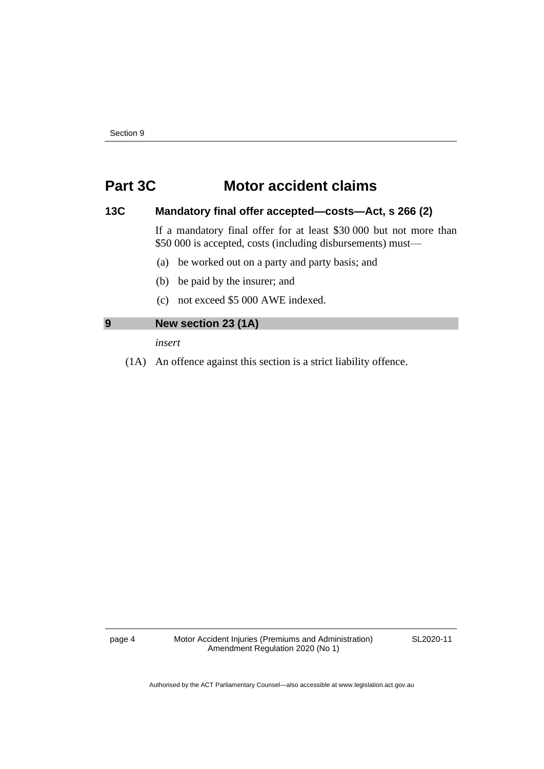### **Part 3C Motor accident claims**

#### **13C Mandatory final offer accepted—costs—Act, s 266 (2)**

If a mandatory final offer for at least \$30 000 but not more than \$50 000 is accepted, costs (including disbursements) must—

- (a) be worked out on a party and party basis; and
- (b) be paid by the insurer; and
- (c) not exceed \$5 000 AWE indexed.

#### <span id="page-7-0"></span>**9 New section 23 (1A)**

*insert*

(1A) An offence against this section is a strict liability offence.

page 4 Motor Accident Injuries (Premiums and Administration) Amendment Regulation 2020 (No 1)

SL2020-11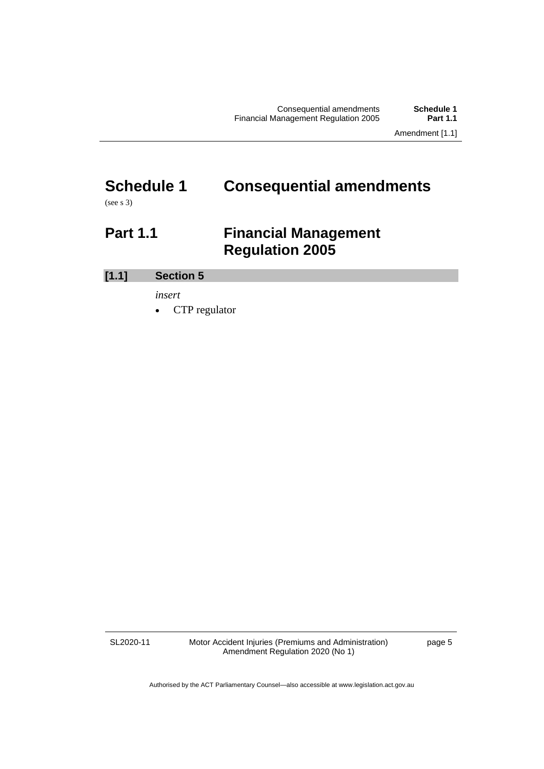# <span id="page-8-0"></span>**Schedule 1 Consequential amendments**

<span id="page-8-1"></span>(see s 3)

## **Part 1.1 Financial Management Regulation 2005**

**[1.1] Section 5**

*insert*

• CTP regulator

SL2020-11

Motor Accident Injuries (Premiums and Administration) Amendment Regulation 2020 (No 1)

page 5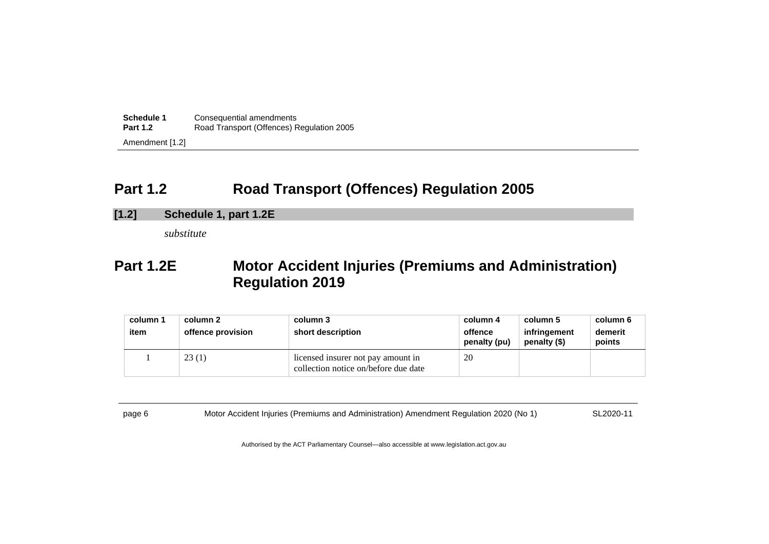| Schedule 1      | Consequential amendments                  |  |  |
|-----------------|-------------------------------------------|--|--|
| <b>Part 1.2</b> | Road Transport (Offences) Regulation 2005 |  |  |
| Amendment [1.2] |                                           |  |  |

## **Part 1.2 Road Transport (Offences) Regulation 2005**

**[1.2] Schedule 1, part 1.2E**

*substitute*

## **Part 1.2E Motor Accident Injuries (Premiums and Administration) Regulation 2019**

| column 1<br>item | column 2<br>offence provision | column 3<br>short description                                              | column 4<br>offence<br>penalty (pu) | column 5<br>infringement<br>penalty (\$) | column 6<br>demerit<br>points |
|------------------|-------------------------------|----------------------------------------------------------------------------|-------------------------------------|------------------------------------------|-------------------------------|
|                  | 23(1)                         | licensed insurer not pay amount in<br>collection notice on/before due date | 20                                  |                                          |                               |

<span id="page-9-0"></span>page 6 Motor Accident Injuries (Premiums and Administration) Amendment Regulation 2020 (No 1) SL2020-11